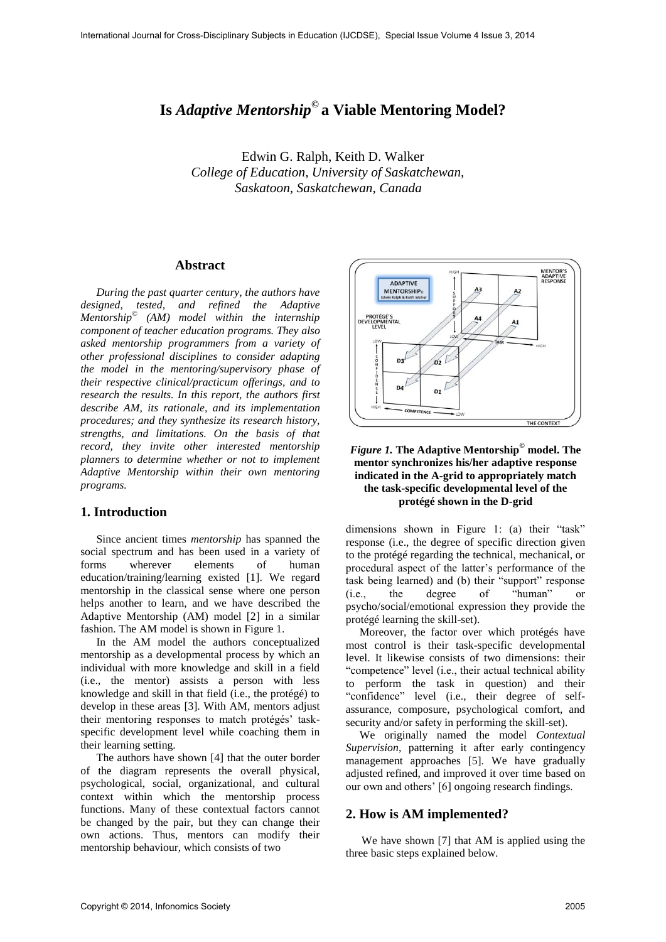# **Is** *Adaptive Mentorship***© a Viable Mentoring Model?**

Edwin G. Ralph, Keith D. Walker  *College of Education, University of Saskatchewan, Saskatoon, Saskatchewan, Canada* 

#### **Abstract**

*During the past quarter century, the authors have designed, tested, and refined the Adaptive Mentorship*© *(AM) model within the internship component of teacher education programs. They also asked mentorship programmers from a variety of other professional disciplines to consider adapting the model in the mentoring/supervisory phase of their respective clinical/practicum offerings, and to research the results. In this report, the authors first describe AM, its rationale, and its implementation procedures; and they synthesize its research history, strengths, and limitations. On the basis of that record, they invite other interested mentorship planners to determine whether or not to implement Adaptive Mentorship within their own mentoring programs.* 

## **1. Introduction**

Since ancient times *mentorship* has spanned the social spectrum and has been used in a variety of forms wherever elements of human education/training/learning existed [1]. We regard mentorship in the classical sense where one person helps another to learn, and we have described the Adaptive Mentorship (AM) model [2] in a similar fashion. The AM model is shown in Figure 1.

In the AM model the authors conceptualized mentorship as a developmental process by which an individual with more knowledge and skill in a field (i.e., the mentor) assists a person with less knowledge and skill in that field (i.e., the protégé) to develop in these areas [3]. With AM, mentors adjust their mentoring responses to match protégés' taskspecific development level while coaching them in their learning setting.

The authors have shown [4] that the outer border of the diagram represents the overall physical, psychological, social, organizational, and cultural context within which the mentorship process functions. Many of these contextual factors cannot be changed by the pair, but they can change their own actions. Thus, mentors can modify their mentorship behaviour, which consists of two



### *Figure 1.* **The Adaptive Mentorship© model. The mentor synchronizes his/her adaptive response indicated in the A-grid to appropriately match the task-specific developmental level of the protégé shown in the D-grid**

dimensions shown in Figure 1: (a) their "task" response (i.e., the degree of specific direction given to the protégé regarding the technical, mechanical, or procedural aspect of the latter's performance of the task being learned) and (b) their "support" response (i.e., the degree of "human" or psycho/social/emotional expression they provide the protégé learning the skill-set).

Moreover, the factor over which protégés have most control is their task-specific developmental level. It likewise consists of two dimensions: their "competence" level (i.e., their actual technical ability to perform the task in question) and their "confidence" level (i.e., their degree of selfassurance, composure, psychological comfort, and security and/or safety in performing the skill-set).

We originally named the model *Contextual Supervision*, patterning it after early contingency management approaches [5]. We have gradually adjusted refined, and improved it over time based on our own and others' [6] ongoing research findings.

#### **2. How is AM implemented?**

We have shown [7] that AM is applied using the three basic steps explained below.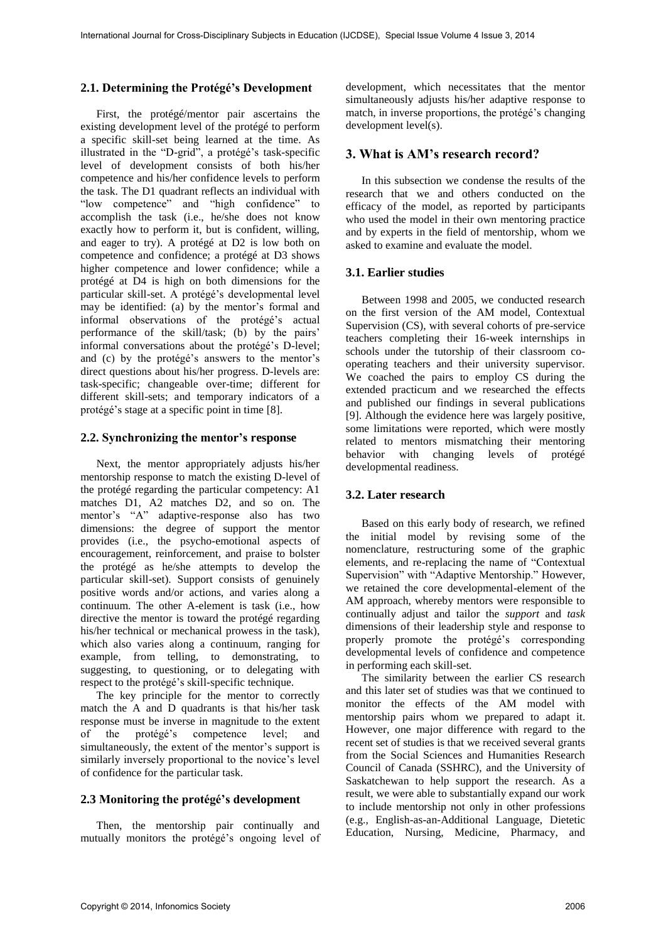#### **2.1. Determining the Protégé's Development**

First, the protégé/mentor pair ascertains the existing development level of the protégé to perform a specific skill-set being learned at the time. As illustrated in the "D-grid", a protégé's task-specific level of development consists of both his/her competence and his/her confidence levels to perform the task. The D1 quadrant reflects an individual with "low competence" and "high confidence" to accomplish the task (i.e., he/she does not know exactly how to perform it, but is confident, willing, and eager to try). A protégé at D2 is low both on competence and confidence; a protégé at D3 shows higher competence and lower confidence; while a protégé at D4 is high on both dimensions for the particular skill-set. A protégé's developmental level may be identified: (a) by the mentor's formal and informal observations of the protégé's actual performance of the skill/task; (b) by the pairs' informal conversations about the protégé's D-level; and (c) by the protégé's answers to the mentor's direct questions about his/her progress. D-levels are: task-specific; changeable over-time; different for different skill-sets; and temporary indicators of a protégé's stage at a specific point in time [8].

#### **2.2. Synchronizing the mentor's response**

Next, the mentor appropriately adjusts his/her mentorship response to match the existing D-level of the protégé regarding the particular competency: A1 matches D1, A2 matches D2, and so on. The mentor's "A" adaptive-response also has two dimensions: the degree of support the mentor provides (i.e., the psycho-emotional aspects of encouragement, reinforcement, and praise to bolster the protégé as he/she attempts to develop the particular skill-set). Support consists of genuinely positive words and/or actions, and varies along a continuum. The other A-element is task (i.e., how directive the mentor is toward the protégé regarding his/her technical or mechanical prowess in the task), which also varies along a continuum, ranging for example, from telling, to demonstrating, to suggesting, to questioning, or to delegating with respect to the protégé's skill-specific technique.

The key principle for the mentor to correctly match the A and D quadrants is that his/her task response must be inverse in magnitude to the extent of the protégé's competence level; and simultaneously, the extent of the mentor's support is similarly inversely proportional to the novice's level of confidence for the particular task.

#### **2.3 Monitoring the protégé's development**

Then, the mentorship pair continually and mutually monitors the protégé's ongoing level of

development, which necessitates that the mentor simultaneously adjusts his/her adaptive response to match, in inverse proportions, the protégé's changing development level(s).

#### **3. What is AM's research record?**

In this subsection we condense the results of the research that we and others conducted on the efficacy of the model, as reported by participants who used the model in their own mentoring practice and by experts in the field of mentorship, whom we asked to examine and evaluate the model.

#### **3.1. Earlier studies**

Between 1998 and 2005, we conducted research on the first version of the AM model, Contextual Supervision (CS), with several cohorts of pre-service teachers completing their 16-week internships in schools under the tutorship of their classroom cooperating teachers and their university supervisor. We coached the pairs to employ CS during the extended practicum and we researched the effects and published our findings in several publications [9]. Although the evidence here was largely positive, some limitations were reported, which were mostly related to mentors mismatching their mentoring behavior with changing levels of protégé developmental readiness.

#### **3.2. Later research**

Based on this early body of research, we refined the initial model by revising some of the nomenclature, restructuring some of the graphic elements, and re-replacing the name of "Contextual Supervision" with "Adaptive Mentorship." However, we retained the core developmental-element of the AM approach, whereby mentors were responsible to continually adjust and tailor the *support* and *task* dimensions of their leadership style and response to properly promote the protégé's corresponding developmental levels of confidence and competence in performing each skill-set.

The similarity between the earlier CS research and this later set of studies was that we continued to monitor the effects of the AM model with mentorship pairs whom we prepared to adapt it. However, one major difference with regard to the recent set of studies is that we received several grants from the Social Sciences and Humanities Research Council of Canada (SSHRC), and the University of Saskatchewan to help support the research. As a result, we were able to substantially expand our work to include mentorship not only in other professions (e.g., English-as-an-Additional Language, Dietetic Education, Nursing, Medicine, Pharmacy, and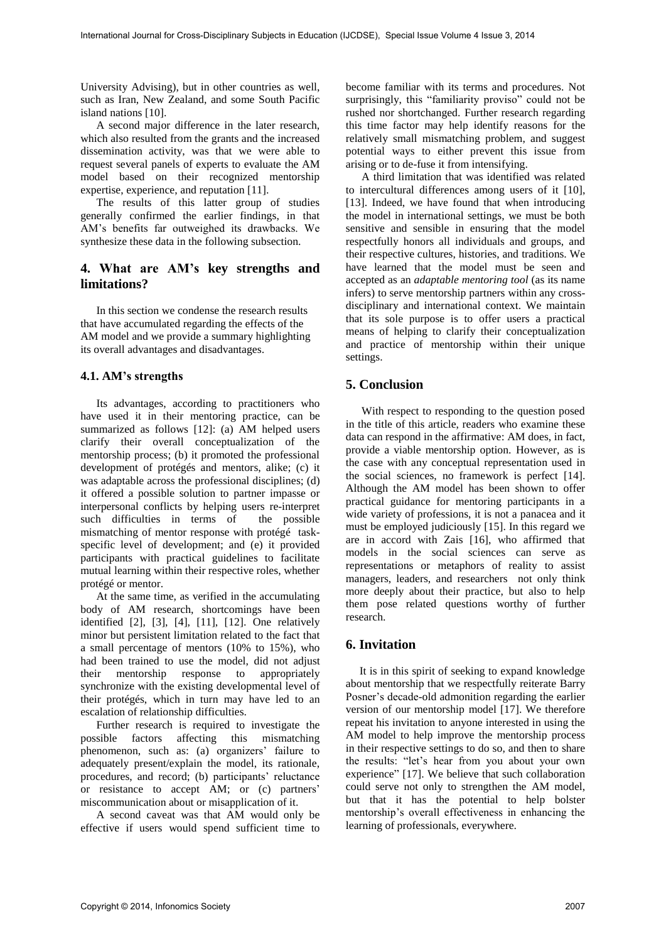University Advising), but in other countries as well, such as Iran, New Zealand, and some South Pacific island nations [10].

A second major difference in the later research, which also resulted from the grants and the increased dissemination activity, was that we were able to request several panels of experts to evaluate the AM model based on their recognized mentorship expertise, experience, and reputation [11].

The results of this latter group of studies generally confirmed the earlier findings, in that AM's benefits far outweighed its drawbacks. We synthesize these data in the following subsection.

# **4. What are AM's key strengths and limitations?**

In this section we condense the research results that have accumulated regarding the effects of the AM model and we provide a summary highlighting its overall advantages and disadvantages.

## **4.1. AM's strengths**

Its advantages, according to practitioners who have used it in their mentoring practice, can be summarized as follows [12]: (a) AM helped users clarify their overall conceptualization of the mentorship process; (b) it promoted the professional development of protégés and mentors, alike; (c) it was adaptable across the professional disciplines; (d) it offered a possible solution to partner impasse or interpersonal conflicts by helping users re-interpret<br>such difficulties in terms of the possible such difficulties in terms of mismatching of mentor response with protégé taskspecific level of development; and (e) it provided participants with practical guidelines to facilitate mutual learning within their respective roles, whether protégé or mentor.

At the same time, as verified in the accumulating body of AM research, shortcomings have been identified [2], [3], [4], [11], [12]. One relatively minor but persistent limitation related to the fact that a small percentage of mentors (10% to 15%), who had been trained to use the model, did not adjust their mentorship response to appropriately synchronize with the existing developmental level of their protégés, which in turn may have led to an escalation of relationship difficulties.

Further research is required to investigate the possible factors affecting this mismatching phenomenon, such as: (a) organizers' failure to adequately present/explain the model, its rationale, procedures, and record; (b) participants' reluctance or resistance to accept AM; or (c) partners' miscommunication about or misapplication of it.

A second caveat was that AM would only be effective if users would spend sufficient time to become familiar with its terms and procedures. Not surprisingly, this "familiarity proviso" could not be rushed nor shortchanged. Further research regarding this time factor may help identify reasons for the relatively small mismatching problem, and suggest potential ways to either prevent this issue from arising or to de-fuse it from intensifying.

A third limitation that was identified was related to intercultural differences among users of it [10], [13]. Indeed, we have found that when introducing the model in international settings, we must be both sensitive and sensible in ensuring that the model respectfully honors all individuals and groups, and their respective cultures, histories, and traditions. We have learned that the model must be seen and accepted as an *adaptable mentoring tool* (as its name infers) to serve mentorship partners within any crossdisciplinary and international context. We maintain that its sole purpose is to offer users a practical means of helping to clarify their conceptualization and practice of mentorship within their unique settings.

# **5. Conclusion**

With respect to responding to the question posed in the title of this article, readers who examine these data can respond in the affirmative: AM does, in fact, provide a viable mentorship option. However, as is the case with any conceptual representation used in the social sciences, no framework is perfect [14]. Although the AM model has been shown to offer practical guidance for mentoring participants in a wide variety of professions, it is not a panacea and it must be employed judiciously [15]. In this regard we are in accord with Zais [16], who affirmed that models in the social sciences can serve as representations or metaphors of reality to assist managers, leaders, and researchers not only think more deeply about their practice, but also to help them pose related questions worthy of further research.

## **6. Invitation**

It is in this spirit of seeking to expand knowledge about mentorship that we respectfully reiterate Barry Posner's decade-old admonition regarding the earlier version of our mentorship model [17]. We therefore repeat his invitation to anyone interested in using the AM model to help improve the mentorship process in their respective settings to do so, and then to share the results: "let's hear from you about your own experience" [17]. We believe that such collaboration could serve not only to strengthen the AM model, but that it has the potential to help bolster mentorship's overall effectiveness in enhancing the learning of professionals, everywhere.